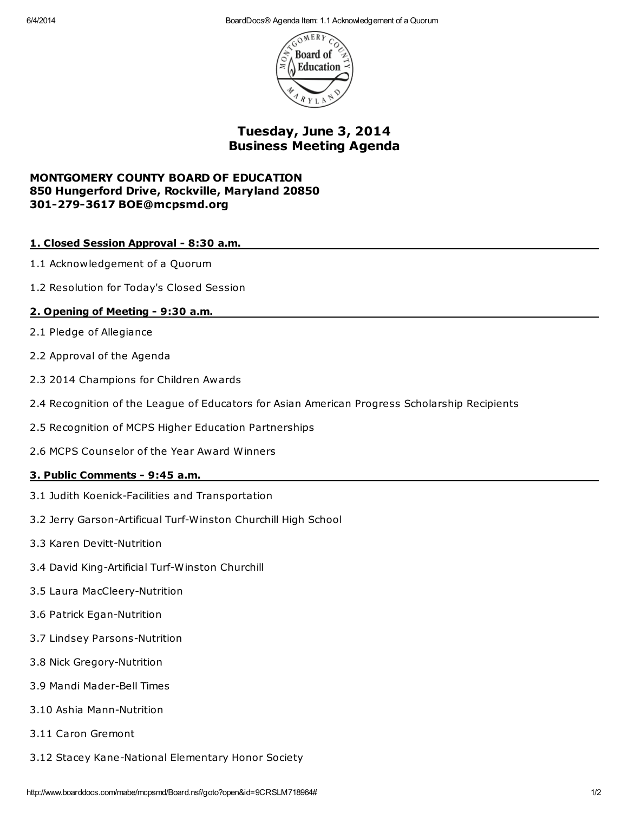6/4/2014 BoardDocs® Agenda Item: 1.1 Acknowledgement of a Quorum



Tuesday, June 3, 2014 Business Meeting Agenda

# MONTGOMERY COUNTY BOARD OF EDUCATION 850 Hungerford Drive, Rockville, Maryland 20850 301-279-3617 BOE@mcpsmd.org

# 1. Closed Session Approval - 8:30 a.m.

- 1.1 Acknowledgement of a Quorum
- 1.2 Resolution for Today's Closed Session

# 2. Opening of Meeting - 9:30 a.m.

- 2.1 Pledge of Allegiance
- 2.2 Approval of the Agenda
- 2.3 2014 Champions for Children Awards
- 2.4 Recognition of the League of Educators for Asian American Progress Scholarship Recipients
- 2.5 Recognition of MCPS Higher Education Partnerships
- 2.6 MCPS Counselor of the Year Award Winners

## 3. Public Comments - 9:45 a.m.

- 3.1 Judith Koenick-Facilities and Transportation
- 3.2 Jerry Garson-Artificual Turf-Winston Churchill High School
- 3.3 Karen Devitt-Nutrition
- 3.4 David King-Artificial Turf-Winston Churchill
- 3.5 Laura MacCleery-Nutrition
- 3.6 Patrick Egan-Nutrition
- 3.7 Lindsey Parsons-Nutrition
- 3.8 Nick Gregory-Nutrition
- 3.9 Mandi Mader-Bell Times
- 3.10 Ashia Mann-Nutrition
- 3.11 Caron Gremont
- 3.12 Stacey Kane-National Elementary Honor Society